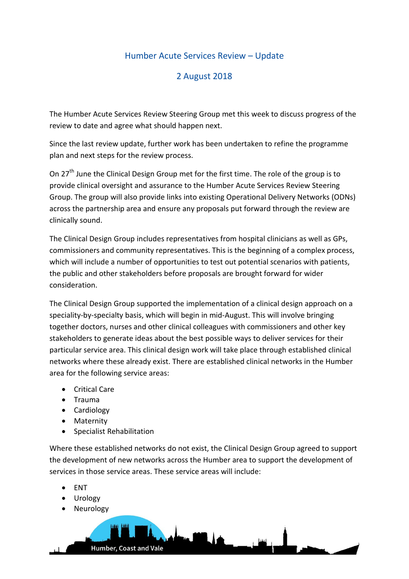## Humber Acute Services Review – Update

## 2 August 2018

The Humber Acute Services Review Steering Group met this week to discuss progress of the review to date and agree what should happen next.

Since the last review update, further work has been undertaken to refine the programme plan and next steps for the review process.

On 27<sup>th</sup> June the Clinical Design Group met for the first time. The role of the group is to provide clinical oversight and assurance to the Humber Acute Services Review Steering Group. The group will also provide links into existing Operational Delivery Networks (ODNs) across the partnership area and ensure any proposals put forward through the review are clinically sound.

The Clinical Design Group includes representatives from hospital clinicians as well as GPs, commissioners and community representatives. This is the beginning of a complex process, which will include a number of opportunities to test out potential scenarios with patients, the public and other stakeholders before proposals are brought forward for wider consideration.

The Clinical Design Group supported the implementation of a clinical design approach on a speciality-by-specialty basis, which will begin in mid-August. This will involve bringing together doctors, nurses and other clinical colleagues with commissioners and other key stakeholders to generate ideas about the best possible ways to deliver services for their particular service area. This clinical design work will take place through established clinical networks where these already exist. There are established clinical networks in the Humber area for the following service areas:

- Critical Care
- Trauma
- Cardiology
- Maternity
- Specialist Rehabilitation

Where these established networks do not exist, the Clinical Design Group agreed to support the development of new networks across the Humber area to support the development of services in those service areas. These service areas will include:

- ENT
- Urology
- Neurology

Humber, Coast and Vale